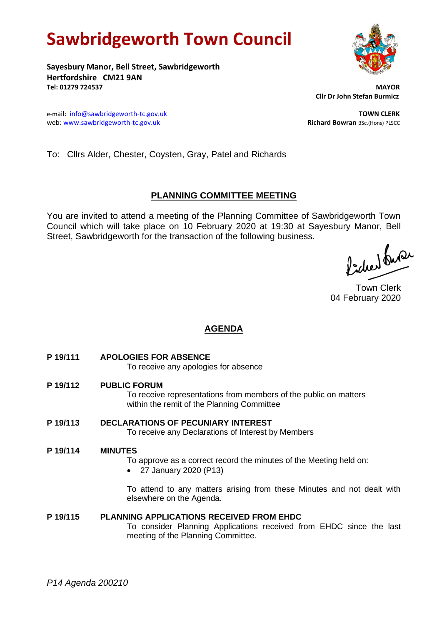# **Sawbridgeworth Town Council**

**Sayesbury Manor, Bell Street, Sawbridgeworth Hertfordshire CM21 9AN Tel: 01279 724537 MAYOR**

 **Cllr Dr John Stefan Burmicz**

e-mail: [info@sawbridgeworth-tc.gov.uk](mailto:info@sawbridgeworth-tc.gov.uk) **TOWN CLERK** web: www.sawbridgeworth-tc.gov.uk<br> **Richard Bowran** BSc.(Hons) PLSCC

To: Cllrs Alder, Chester, Coysten, Gray, Patel and Richards

# **PLANNING COMMITTEE MEETING**

You are invited to attend a meeting of the Planning Committee of Sawbridgeworth Town Council which will take place on 10 February 2020 at 19:30 at Sayesbury Manor, Bell Street, Sawbridgeworth for the transaction of the following business.

Picked Suran

Town Clerk 04 February 2020

# **AGENDA**

**P 19/111 APOLOGIES FOR ABSENCE**

To receive any apologies for absence

**P 19/112 PUBLIC FORUM**

To receive representations from members of the public on matters within the remit of the Planning Committee

#### **P 19/113 DECLARATIONS OF PECUNIARY INTEREST** To receive any Declarations of Interest by Members

## **P 19/114 MINUTES**

- To approve as a correct record the minutes of the Meeting held on:
- 27 January 2020 (P13)

To attend to any matters arising from these Minutes and not dealt with elsewhere on the Agenda.

# **P 19/115 PLANNING APPLICATIONS RECEIVED FROM EHDC**

To consider Planning Applications received from EHDC since the last meeting of the Planning Committee.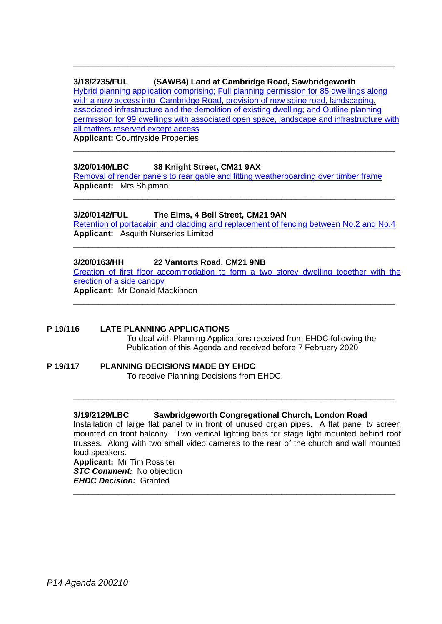# **3/18/2735/FUL (SAWB4) Land at Cambridge Road, Sawbridgeworth**

[Hybrid planning application comprising; Full planning permission for 85 dwellings along](https://publicaccess.eastherts.gov.uk/online-applications/applicationDetails.do?activeTab=documents&keyVal=PJQHW9GLH9700)  with a new access into Cambridge Road, provision of new spine road, landscaping, [associated infrastructure and the demolition of existing dwelling; and Outline planning](https://publicaccess.eastherts.gov.uk/online-applications/applicationDetails.do?activeTab=documents&keyVal=PJQHW9GLH9700)  [permission for 99 dwellings with associated open space, landscape and infrastructure with](https://publicaccess.eastherts.gov.uk/online-applications/applicationDetails.do?activeTab=documents&keyVal=PJQHW9GLH9700)  [all matters reserved except access](https://publicaccess.eastherts.gov.uk/online-applications/applicationDetails.do?activeTab=documents&keyVal=PJQHW9GLH9700) 

**\_\_\_\_\_\_\_\_\_\_\_\_\_\_\_\_\_\_\_\_\_\_\_\_\_\_\_\_\_\_\_\_\_\_\_\_\_\_\_\_\_\_\_\_\_\_\_\_\_\_\_\_\_\_\_\_\_\_\_\_\_\_\_\_\_**

**\_\_\_\_\_\_\_\_\_\_\_\_\_\_\_\_\_\_\_\_\_\_\_\_\_\_\_\_\_\_\_\_\_\_\_\_\_\_\_\_\_\_\_\_\_\_\_\_\_\_\_\_\_\_\_\_\_\_\_\_\_\_\_\_\_**

**Applicant:** Countryside Properties

## **3/20/0140/LBC 38 Knight Street, CM21 9AX**

[Removal of render panels to rear gable and fitting weatherboarding over timber frame](https://publicaccess.eastherts.gov.uk/online-applications/applicationDetails.do?activeTab=documents&keyVal=Q4K6RAGLMVN00) **Applicant:** Mrs Shipman

# **3/20/0142/FUL The Elms, 4 Bell Street, CM21 9AN**

[Retention of portacabin and cladding and replacement of fencing between](https://publicaccess.eastherts.gov.uk/online-applications/applicationDetails.do?activeTab=documents&keyVal=Q4KHWDGLMVS00) No.2 and No.4 **Applicant:** Asquith Nurseries Limited

**\_\_\_\_\_\_\_\_\_\_\_\_\_\_\_\_\_\_\_\_\_\_\_\_\_\_\_\_\_\_\_\_\_\_\_\_\_\_\_\_\_\_\_\_\_\_\_\_\_\_\_\_\_\_\_\_\_\_\_\_\_\_\_\_\_**

**\_\_\_\_\_\_\_\_\_\_\_\_\_\_\_\_\_\_\_\_\_\_\_\_\_\_\_\_\_\_\_\_\_\_\_\_\_\_\_\_\_\_\_\_\_\_\_\_\_\_\_\_\_\_\_\_\_\_\_\_\_\_\_\_\_**

## **3/20/0163/HH 22 Vantorts Road, CM21 9NB**

[Creation of first floor accommodation to form a two storey dwelling together with the](https://publicaccess.eastherts.gov.uk/online-applications/applicationDetails.do?activeTab=documents&keyVal=Q4RLGAGLMXD00)  [erection of a side canopy](https://publicaccess.eastherts.gov.uk/online-applications/applicationDetails.do?activeTab=documents&keyVal=Q4RLGAGLMXD00)

**\_\_\_\_\_\_\_\_\_\_\_\_\_\_\_\_\_\_\_\_\_\_\_\_\_\_\_\_\_\_\_\_\_\_\_\_\_\_\_\_\_\_\_\_\_\_\_\_\_\_\_\_\_\_\_\_\_\_\_\_\_\_\_\_\_**

**Applicant:** Mr Donald Mackinnon

# **P 19/116 LATE PLANNING APPLICATIONS**

To deal with Planning Applications received from EHDC following the Publication of this Agenda and received before 7 February 2020

#### **P 19/117 PLANNING DECISIONS MADE BY EHDC** To receive Planning Decisions from EHDC.

## **3/19/2129/LBC Sawbridgeworth Congregational Church, London Road**

Installation of large flat panel tv in front of unused organ pipes. A flat panel tv screen mounted on front balcony. Two vertical lighting bars for stage light mounted behind roof trusses. Along with two small video cameras to the rear of the church and wall mounted loud speakers.

**\_\_\_\_\_\_\_\_\_\_\_\_\_\_\_\_\_\_\_\_\_\_\_\_\_\_\_\_\_\_\_\_\_\_\_\_\_\_\_\_\_\_\_\_\_\_\_\_\_\_\_\_\_\_\_\_\_\_\_\_\_\_\_\_\_**

**\_\_\_\_\_\_\_\_\_\_\_\_\_\_\_\_\_\_\_\_\_\_\_\_\_\_\_\_\_\_\_\_\_\_\_\_\_\_\_\_\_\_\_\_\_\_\_\_\_\_\_\_\_\_\_\_\_\_\_\_\_\_\_\_\_**

**Applicant:** Mr Tim Rossiter *STC Comment:* No objection *EHDC Decision:* Granted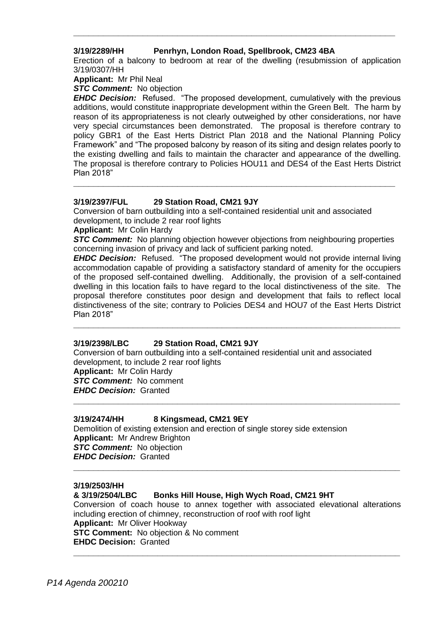## **3/19/2289/HH Penrhyn, London Road, Spellbrook, CM23 4BA**

Erection of a balcony to bedroom at rear of the dwelling (resubmission of application 3/19/0307/HH

**\_\_\_\_\_\_\_\_\_\_\_\_\_\_\_\_\_\_\_\_\_\_\_\_\_\_\_\_\_\_\_\_\_\_\_\_\_\_\_\_\_\_\_\_\_\_\_\_\_\_\_\_\_\_\_\_\_\_\_\_\_\_\_\_\_**

**Applicant:** Mr Phil Neal

*STC Comment:* No objection

*EHDC Decision:* Refused. "The proposed development, cumulatively with the previous additions, would constitute inappropriate development within the Green Belt. The harm by reason of its appropriateness is not clearly outweighed by other considerations, nor have very special circumstances been demonstrated. The proposal is therefore contrary to policy GBR1 of the East Herts District Plan 2018 and the National Planning Policy Framework" and "The proposed balcony by reason of its siting and design relates poorly to the existing dwelling and fails to maintain the character and appearance of the dwelling. The proposal is therefore contrary to Policies HOU11 and DES4 of the East Herts District Plan 2018"

## **3/19/2397/FUL 29 Station Road, CM21 9JY**

Conversion of barn outbuilding into a self-contained residential unit and associated development, to include 2 rear roof lights

**Applicant:** Mr Colin Hardy

*STC Comment:* No planning objection however objections from neighbouring properties concerning invasion of privacy and lack of sufficient parking noted.

**\_\_\_\_\_\_\_\_\_\_\_\_\_\_\_\_\_\_\_\_\_\_\_\_\_\_\_\_\_\_\_\_\_\_\_\_\_\_\_\_\_\_\_\_\_\_\_\_\_\_\_\_\_\_\_\_\_\_\_\_\_\_\_\_\_**

**EHDC Decision:** Refused. "The proposed development would not provide internal living accommodation capable of providing a satisfactory standard of amenity for the occupiers of the proposed self-contained dwelling. Additionally, the provision of a self-contained dwelling in this location fails to have regard to the local distinctiveness of the site. The proposal therefore constitutes poor design and development that fails to reflect local distinctiveness of the site; contrary to Policies DES4 and HOU7 of the East Herts District Plan 2018"

**\_\_\_\_\_\_\_\_\_\_\_\_\_\_\_\_\_\_\_\_\_\_\_\_\_\_\_\_\_\_\_\_\_\_\_\_\_\_\_\_\_\_\_\_\_\_\_\_\_\_\_\_\_\_\_\_\_\_\_\_\_\_\_\_\_\_**

#### **3/19/2398/LBC 29 Station Road, CM21 9JY**

Conversion of barn outbuilding into a self-contained residential unit and associated development, to include 2 rear roof lights **Applicant:** Mr Colin Hardy *STC Comment:* No comment *EHDC Decision:* Granted **\_\_\_\_\_\_\_\_\_\_\_\_\_\_\_\_\_\_\_\_\_\_\_\_\_\_\_\_\_\_\_\_\_\_\_\_\_\_\_\_\_\_\_\_\_\_\_\_\_\_\_\_\_\_\_\_\_\_\_\_\_\_\_\_\_\_**

#### **3/19/2474/HH 8 Kingsmead, CM21 9EY**

Demolition of existing extension and erection of single storey side extension **Applicant:** Mr Andrew Brighton *STC Comment:* No objection *EHDC Decision:* Granted **\_\_\_\_\_\_\_\_\_\_\_\_\_\_\_\_\_\_\_\_\_\_\_\_\_\_\_\_\_\_\_\_\_\_\_\_\_\_\_\_\_\_\_\_\_\_\_\_\_\_\_\_\_\_\_\_\_\_\_\_\_\_\_\_\_\_**

#### **3/19/2503/HH**

#### **& 3/19/2504/LBC Bonks Hill House, High Wych Road, CM21 9HT**

Conversion of coach house to annex together with associated elevational alterations including erection of chimney, reconstruction of roof with roof light **Applicant:** Mr Oliver Hookway **STC Comment:** No objection & No comment **EHDC Decision:** Granted **\_\_\_\_\_\_\_\_\_\_\_\_\_\_\_\_\_\_\_\_\_\_\_\_\_\_\_\_\_\_\_\_\_\_\_\_\_\_\_\_\_\_\_\_\_\_\_\_\_\_\_\_\_\_\_\_\_\_\_\_\_\_\_\_\_\_**